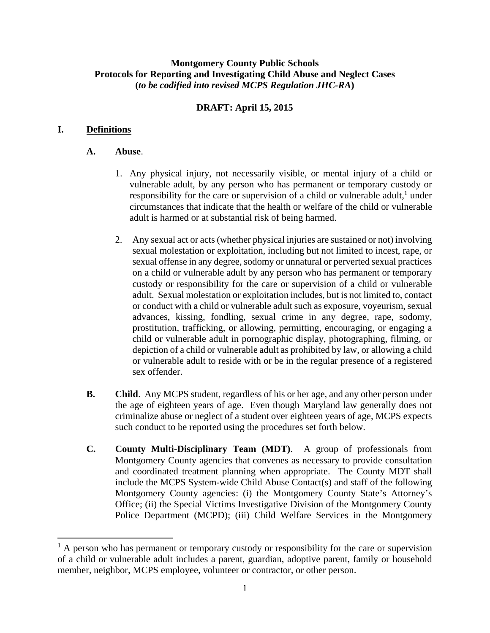### **Montgomery County Public Schools Protocols for Reporting and Investigating Child Abuse and Neglect Cases (***to be codified into revised MCPS Regulation JHC-RA***)**

# **DRAFT: April 15, 2015**

## **I. Definitions**

### **A. Abuse**.

- 1. Any physical injury, not necessarily visible, or mental injury of a child or vulnerable adult, by any person who has permanent or temporary custody or responsibility for the care or supervision of a child or vulnerable adult, $<sup>1</sup>$  under</sup> circumstances that indicate that the health or welfare of the child or vulnerable adult is harmed or at substantial risk of being harmed.
- 2. Any sexual act or acts (whether physical injuries are sustained or not) involving sexual molestation or exploitation, including but not limited to incest, rape, or sexual offense in any degree, sodomy or unnatural or perverted sexual practices on a child or vulnerable adult by any person who has permanent or temporary custody or responsibility for the care or supervision of a child or vulnerable adult. Sexual molestation or exploitation includes, but is not limited to, contact or conduct with a child or vulnerable adult such as exposure, voyeurism, sexual advances, kissing, fondling, sexual crime in any degree, rape, sodomy, prostitution, trafficking, or allowing, permitting, encouraging, or engaging a child or vulnerable adult in pornographic display, photographing, filming, or depiction of a child or vulnerable adult as prohibited by law, or allowing a child or vulnerable adult to reside with or be in the regular presence of a registered sex offender.
- **B. Child**. Any MCPS student, regardless of his or her age, and any other person under the age of eighteen years of age. Even though Maryland law generally does not criminalize abuse or neglect of a student over eighteen years of age, MCPS expects such conduct to be reported using the procedures set forth below.
- **C. County Multi-Disciplinary Team (MDT)**. A group of professionals from Montgomery County agencies that convenes as necessary to provide consultation and coordinated treatment planning when appropriate. The County MDT shall include the MCPS System-wide Child Abuse Contact(s) and staff of the following Montgomery County agencies: (i) the Montgomery County State's Attorney's Office; (ii) the Special Victims Investigative Division of the Montgomery County Police Department (MCPD); (iii) Child Welfare Services in the Montgomery

<sup>&</sup>lt;sup>1</sup> A person who has permanent or temporary custody or responsibility for the care or supervision of a child or vulnerable adult includes a parent, guardian, adoptive parent, family or household member, neighbor, MCPS employee, volunteer or contractor, or other person.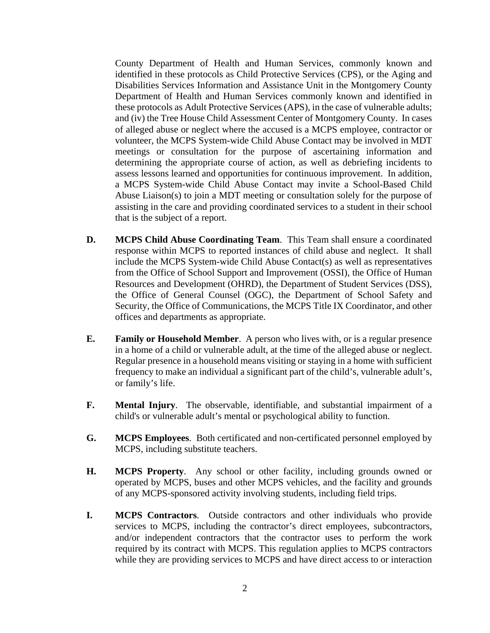County Department of Health and Human Services, commonly known and identified in these protocols as Child Protective Services (CPS), or the Aging and Disabilities Services Information and Assistance Unit in the Montgomery County Department of Health and Human Services commonly known and identified in these protocols as Adult Protective Services (APS), in the case of vulnerable adults; and (iv) the Tree House Child Assessment Center of Montgomery County. In cases of alleged abuse or neglect where the accused is a MCPS employee, contractor or volunteer, the MCPS System-wide Child Abuse Contact may be involved in MDT meetings or consultation for the purpose of ascertaining information and determining the appropriate course of action, as well as debriefing incidents to assess lessons learned and opportunities for continuous improvement. In addition, a MCPS System-wide Child Abuse Contact may invite a School-Based Child Abuse Liaison(s) to join a MDT meeting or consultation solely for the purpose of assisting in the care and providing coordinated services to a student in their school that is the subject of a report.

- **D. MCPS Child Abuse Coordinating Team**. This Team shall ensure a coordinated response within MCPS to reported instances of child abuse and neglect. It shall include the MCPS System-wide Child Abuse Contact(s) as well as representatives from the Office of School Support and Improvement (OSSI), the Office of Human Resources and Development (OHRD), the Department of Student Services (DSS), the Office of General Counsel (OGC), the Department of School Safety and Security, the Office of Communications, the MCPS Title IX Coordinator, and other offices and departments as appropriate.
- **E. Family or Household Member**. A person who lives with, or is a regular presence in a home of a child or vulnerable adult, at the time of the alleged abuse or neglect. Regular presence in a household means visiting or staying in a home with sufficient frequency to make an individual a significant part of the child's, vulnerable adult's, or family's life.
- **F. Mental Injury**. The observable, identifiable, and substantial impairment of a child's or vulnerable adult's mental or psychological ability to function.
- **G. MCPS Employees**. Both certificated and non-certificated personnel employed by MCPS, including substitute teachers.
- **H. MCPS Property**. Any school or other facility, including grounds owned or operated by MCPS, buses and other MCPS vehicles, and the facility and grounds of any MCPS-sponsored activity involving students, including field trips.
- **I. MCPS Contractors**. Outside contractors and other individuals who provide services to MCPS, including the contractor's direct employees, subcontractors, and/or independent contractors that the contractor uses to perform the work required by its contract with MCPS. This regulation applies to MCPS contractors while they are providing services to MCPS and have direct access to or interaction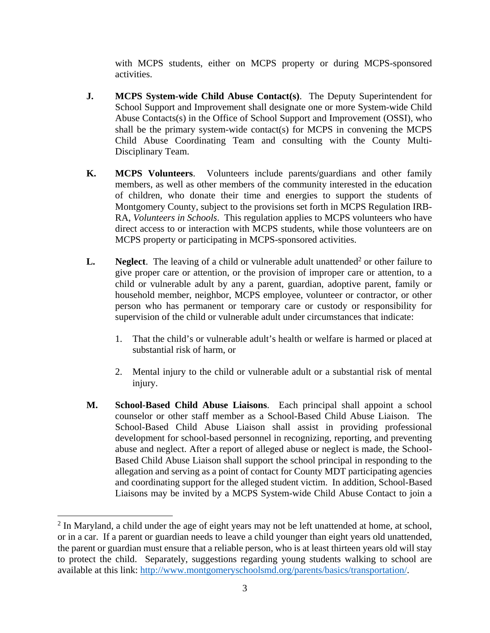with MCPS students, either on MCPS property or during MCPS-sponsored activities.

- **J. MCPS System-wide Child Abuse Contact(s)**.The Deputy Superintendent for School Support and Improvement shall designate one or more System-wide Child Abuse Contacts(s) in the Office of School Support and Improvement (OSSI), who shall be the primary system-wide contact(s) for MCPS in convening the MCPS Child Abuse Coordinating Team and consulting with the County Multi-Disciplinary Team.
- **K. MCPS Volunteers**. Volunteers include parents/guardians and other family members, as well as other members of the community interested in the education of children, who donate their time and energies to support the students of Montgomery County, subject to the provisions set forth in MCPS Regulation IRB-RA, *Volunteers in Schools*. This regulation applies to MCPS volunteers who have direct access to or interaction with MCPS students, while those volunteers are on MCPS property or participating in MCPS-sponsored activities.
- **L.** Neglect. The leaving of a child or vulnerable adult unattended<sup>2</sup> or other failure to give proper care or attention, or the provision of improper care or attention, to a child or vulnerable adult by any a parent, guardian, adoptive parent, family or household member, neighbor, MCPS employee, volunteer or contractor, or other person who has permanent or temporary care or custody or responsibility for supervision of the child or vulnerable adult under circumstances that indicate:
	- 1. That the child's or vulnerable adult's health or welfare is harmed or placed at substantial risk of harm, or
	- 2. Mental injury to the child or vulnerable adult or a substantial risk of mental injury.
- **M. School-Based Child Abuse Liaisons**. Each principal shall appoint a school counselor or other staff member as a School-Based Child Abuse Liaison. The School-Based Child Abuse Liaison shall assist in providing professional development for school-based personnel in recognizing, reporting, and preventing abuse and neglect. After a report of alleged abuse or neglect is made, the School-Based Child Abuse Liaison shall support the school principal in responding to the allegation and serving as a point of contact for County MDT participating agencies and coordinating support for the alleged student victim. In addition, School-Based Liaisons may be invited by a MCPS System-wide Child Abuse Contact to join a

 $2$  In Maryland, a child under the age of eight years may not be left unattended at home, at school, or in a car. If a parent or guardian needs to leave a child younger than eight years old unattended, the parent or guardian must ensure that a reliable person, who is at least thirteen years old will stay to protect the child. Separately, suggestions regarding young students walking to school are available at this link: http://www.montgomeryschoolsmd.org/parents/basics/transportation/.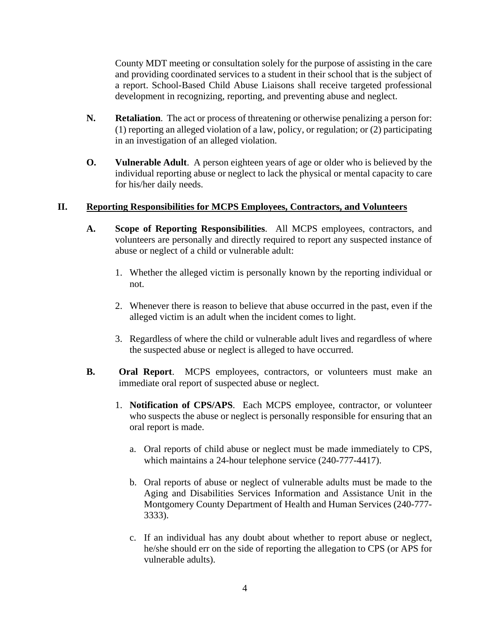County MDT meeting or consultation solely for the purpose of assisting in the care and providing coordinated services to a student in their school that is the subject of a report. School-Based Child Abuse Liaisons shall receive targeted professional development in recognizing, reporting, and preventing abuse and neglect.

- **N. Retaliation**. The act or process of threatening or otherwise penalizing a person for: (1) reporting an alleged violation of a law, policy, or regulation; or (2) participating in an investigation of an alleged violation.
- **O. Vulnerable Adult**. A person eighteen years of age or older who is believed by the individual reporting abuse or neglect to lack the physical or mental capacity to care for his/her daily needs.

### **II. Reporting Responsibilities for MCPS Employees, Contractors, and Volunteers**

- **A. Scope of Reporting Responsibilities**. All MCPS employees, contractors, and volunteers are personally and directly required to report any suspected instance of abuse or neglect of a child or vulnerable adult:
	- 1. Whether the alleged victim is personally known by the reporting individual or not.
	- 2. Whenever there is reason to believe that abuse occurred in the past, even if the alleged victim is an adult when the incident comes to light.
	- 3. Regardless of where the child or vulnerable adult lives and regardless of where the suspected abuse or neglect is alleged to have occurred.
- **B. Oral Report**. MCPS employees, contractors, or volunteers must make an immediate oral report of suspected abuse or neglect.
	- 1. **Notification of CPS/APS**. Each MCPS employee, contractor, or volunteer who suspects the abuse or neglect is personally responsible for ensuring that an oral report is made.
		- a. Oral reports of child abuse or neglect must be made immediately to CPS, which maintains a 24-hour telephone service (240-777-4417).
		- b. Oral reports of abuse or neglect of vulnerable adults must be made to the Aging and Disabilities Services Information and Assistance Unit in the Montgomery County Department of Health and Human Services (240-777- 3333).
		- c. If an individual has any doubt about whether to report abuse or neglect, he/she should err on the side of reporting the allegation to CPS (or APS for vulnerable adults).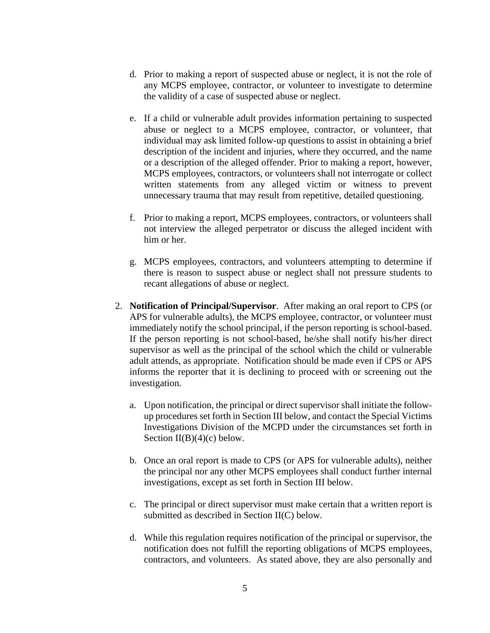- d. Prior to making a report of suspected abuse or neglect, it is not the role of any MCPS employee, contractor, or volunteer to investigate to determine the validity of a case of suspected abuse or neglect.
- e. If a child or vulnerable adult provides information pertaining to suspected abuse or neglect to a MCPS employee, contractor, or volunteer, that individual may ask limited follow-up questions to assist in obtaining a brief description of the incident and injuries, where they occurred, and the name or a description of the alleged offender. Prior to making a report, however, MCPS employees, contractors, or volunteers shall not interrogate or collect written statements from any alleged victim or witness to prevent unnecessary trauma that may result from repetitive, detailed questioning.
- f. Prior to making a report, MCPS employees, contractors, or volunteers shall not interview the alleged perpetrator or discuss the alleged incident with him or her.
- g. MCPS employees, contractors, and volunteers attempting to determine if there is reason to suspect abuse or neglect shall not pressure students to recant allegations of abuse or neglect.
- 2. **Notification of Principal/Supervisor**. After making an oral report to CPS (or APS for vulnerable adults), the MCPS employee, contractor, or volunteer must immediately notify the school principal, if the person reporting is school-based. If the person reporting is not school-based, he/she shall notify his/her direct supervisor as well as the principal of the school which the child or vulnerable adult attends, as appropriate. Notification should be made even if CPS or APS informs the reporter that it is declining to proceed with or screening out the investigation.
	- a. Upon notification, the principal or direct supervisor shall initiate the followup procedures set forth in Section III below, and contact the Special Victims Investigations Division of the MCPD under the circumstances set forth in Section  $II(B)(4)(c)$  below.
	- b. Once an oral report is made to CPS (or APS for vulnerable adults), neither the principal nor any other MCPS employees shall conduct further internal investigations, except as set forth in Section III below.
	- c. The principal or direct supervisor must make certain that a written report is submitted as described in Section II(C) below.
	- d. While this regulation requires notification of the principal or supervisor, the notification does not fulfill the reporting obligations of MCPS employees, contractors, and volunteers. As stated above, they are also personally and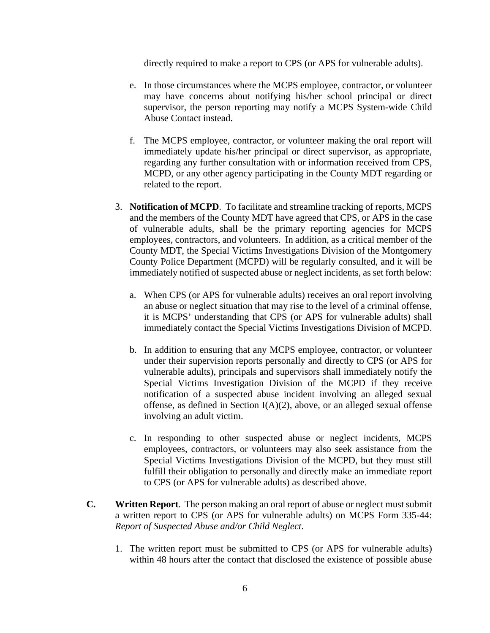directly required to make a report to CPS (or APS for vulnerable adults).

- e. In those circumstances where the MCPS employee, contractor, or volunteer may have concerns about notifying his/her school principal or direct supervisor, the person reporting may notify a MCPS System-wide Child Abuse Contact instead.
- f. The MCPS employee, contractor, or volunteer making the oral report will immediately update his/her principal or direct supervisor, as appropriate, regarding any further consultation with or information received from CPS, MCPD, or any other agency participating in the County MDT regarding or related to the report.
- 3. **Notification of MCPD**. To facilitate and streamline tracking of reports, MCPS and the members of the County MDT have agreed that CPS, or APS in the case of vulnerable adults, shall be the primary reporting agencies for MCPS employees, contractors, and volunteers. In addition, as a critical member of the County MDT, the Special Victims Investigations Division of the Montgomery County Police Department (MCPD) will be regularly consulted, and it will be immediately notified of suspected abuse or neglect incidents, as set forth below:
	- a. When CPS (or APS for vulnerable adults) receives an oral report involving an abuse or neglect situation that may rise to the level of a criminal offense, it is MCPS' understanding that CPS (or APS for vulnerable adults) shall immediately contact the Special Victims Investigations Division of MCPD.
	- b. In addition to ensuring that any MCPS employee, contractor, or volunteer under their supervision reports personally and directly to CPS (or APS for vulnerable adults), principals and supervisors shall immediately notify the Special Victims Investigation Division of the MCPD if they receive notification of a suspected abuse incident involving an alleged sexual offense, as defined in Section  $I(A)(2)$ , above, or an alleged sexual offense involving an adult victim.
	- c. In responding to other suspected abuse or neglect incidents, MCPS employees, contractors, or volunteers may also seek assistance from the Special Victims Investigations Division of the MCPD, but they must still fulfill their obligation to personally and directly make an immediate report to CPS (or APS for vulnerable adults) as described above.
- **C. Written Report**. The person making an oral report of abuse or neglect must submit a written report to CPS (or APS for vulnerable adults) on MCPS Form 335-44: *Report of Suspected Abuse and/or Child Neglect*.
	- 1. The written report must be submitted to CPS (or APS for vulnerable adults) within 48 hours after the contact that disclosed the existence of possible abuse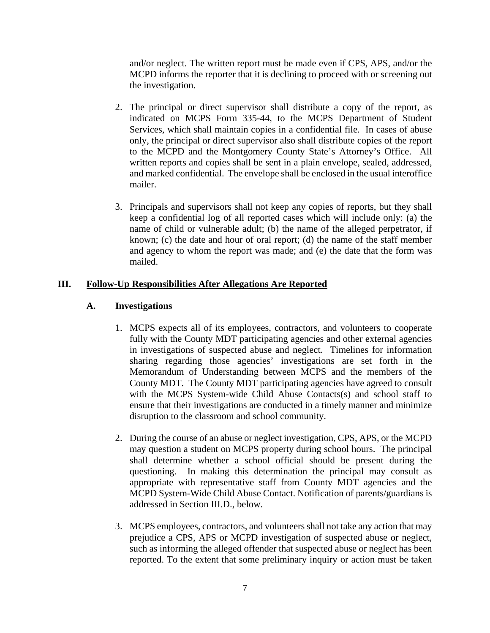and/or neglect. The written report must be made even if CPS, APS, and/or the MCPD informs the reporter that it is declining to proceed with or screening out the investigation.

- 2. The principal or direct supervisor shall distribute a copy of the report, as indicated on MCPS Form 335-44, to the MCPS Department of Student Services, which shall maintain copies in a confidential file. In cases of abuse only, the principal or direct supervisor also shall distribute copies of the report to the MCPD and the Montgomery County State's Attorney's Office. All written reports and copies shall be sent in a plain envelope, sealed, addressed, and marked confidential. The envelope shall be enclosed in the usual interoffice mailer.
- 3. Principals and supervisors shall not keep any copies of reports, but they shall keep a confidential log of all reported cases which will include only: (a) the name of child or vulnerable adult; (b) the name of the alleged perpetrator, if known; (c) the date and hour of oral report; (d) the name of the staff member and agency to whom the report was made; and (e) the date that the form was mailed.

### **III. Follow-Up Responsibilities After Allegations Are Reported**

### **A. Investigations**

- 1. MCPS expects all of its employees, contractors, and volunteers to cooperate fully with the County MDT participating agencies and other external agencies in investigations of suspected abuse and neglect. Timelines for information sharing regarding those agencies' investigations are set forth in the Memorandum of Understanding between MCPS and the members of the County MDT. The County MDT participating agencies have agreed to consult with the MCPS System-wide Child Abuse Contacts(s) and school staff to ensure that their investigations are conducted in a timely manner and minimize disruption to the classroom and school community.
- 2. During the course of an abuse or neglect investigation, CPS, APS, or the MCPD may question a student on MCPS property during school hours. The principal shall determine whether a school official should be present during the questioning. In making this determination the principal may consult as appropriate with representative staff from County MDT agencies and the MCPD System-Wide Child Abuse Contact. Notification of parents/guardians is addressed in Section III.D., below.
- 3. MCPS employees, contractors, and volunteers shall not take any action that may prejudice a CPS, APS or MCPD investigation of suspected abuse or neglect, such as informing the alleged offender that suspected abuse or neglect has been reported. To the extent that some preliminary inquiry or action must be taken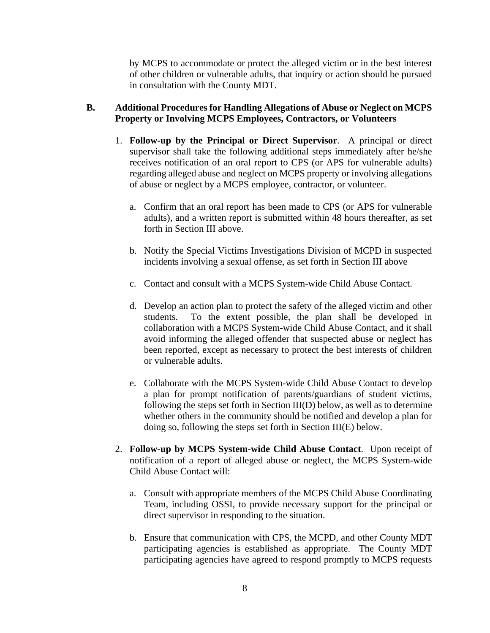by MCPS to accommodate or protect the alleged victim or in the best interest of other children or vulnerable adults, that inquiry or action should be pursued in consultation with the County MDT.

## **B. Additional Procedures for Handling Allegations of Abuse or Neglect on MCPS Property or Involving MCPS Employees, Contractors, or Volunteers**

- 1. **Follow-up by the Principal or Direct Supervisor**. A principal or direct supervisor shall take the following additional steps immediately after he/she receives notification of an oral report to CPS (or APS for vulnerable adults) regarding alleged abuse and neglect on MCPS property or involving allegations of abuse or neglect by a MCPS employee, contractor, or volunteer.
	- a. Confirm that an oral report has been made to CPS (or APS for vulnerable adults), and a written report is submitted within 48 hours thereafter, as set forth in Section III above.
	- b. Notify the Special Victims Investigations Division of MCPD in suspected incidents involving a sexual offense, as set forth in Section III above
	- c. Contact and consult with a MCPS System-wide Child Abuse Contact.
	- d. Develop an action plan to protect the safety of the alleged victim and other students. To the extent possible, the plan shall be developed in collaboration with a MCPS System-wide Child Abuse Contact, and it shall avoid informing the alleged offender that suspected abuse or neglect has been reported, except as necessary to protect the best interests of children or vulnerable adults.
	- e. Collaborate with the MCPS System-wide Child Abuse Contact to develop a plan for prompt notification of parents/guardians of student victims, following the steps set forth in Section III(D) below, as well as to determine whether others in the community should be notified and develop a plan for doing so, following the steps set forth in Section III(E) below.
- 2. **Follow-up by MCPS System-wide Child Abuse Contact**. Upon receipt of notification of a report of alleged abuse or neglect, the MCPS System-wide Child Abuse Contact will:
	- a. Consult with appropriate members of the MCPS Child Abuse Coordinating Team, including OSSI, to provide necessary support for the principal or direct supervisor in responding to the situation.
	- b. Ensure that communication with CPS, the MCPD, and other County MDT participating agencies is established as appropriate. The County MDT participating agencies have agreed to respond promptly to MCPS requests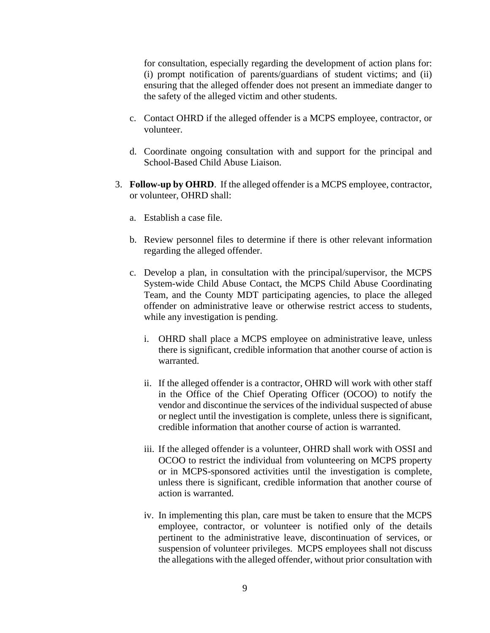for consultation, especially regarding the development of action plans for: (i) prompt notification of parents/guardians of student victims; and (ii) ensuring that the alleged offender does not present an immediate danger to the safety of the alleged victim and other students.

- c. Contact OHRD if the alleged offender is a MCPS employee, contractor, or volunteer.
- d. Coordinate ongoing consultation with and support for the principal and School-Based Child Abuse Liaison.
- 3. **Follow-up by OHRD**. If the alleged offender is a MCPS employee, contractor, or volunteer, OHRD shall:
	- a. Establish a case file.
	- b. Review personnel files to determine if there is other relevant information regarding the alleged offender.
	- c. Develop a plan, in consultation with the principal/supervisor, the MCPS System-wide Child Abuse Contact, the MCPS Child Abuse Coordinating Team, and the County MDT participating agencies, to place the alleged offender on administrative leave or otherwise restrict access to students, while any investigation is pending.
		- i. OHRD shall place a MCPS employee on administrative leave, unless there is significant, credible information that another course of action is warranted.
		- ii. If the alleged offender is a contractor, OHRD will work with other staff in the Office of the Chief Operating Officer (OCOO) to notify the vendor and discontinue the services of the individual suspected of abuse or neglect until the investigation is complete, unless there is significant, credible information that another course of action is warranted.
		- iii. If the alleged offender is a volunteer, OHRD shall work with OSSI and OCOO to restrict the individual from volunteering on MCPS property or in MCPS-sponsored activities until the investigation is complete, unless there is significant, credible information that another course of action is warranted.
		- iv. In implementing this plan, care must be taken to ensure that the MCPS employee, contractor, or volunteer is notified only of the details pertinent to the administrative leave, discontinuation of services, or suspension of volunteer privileges. MCPS employees shall not discuss the allegations with the alleged offender, without prior consultation with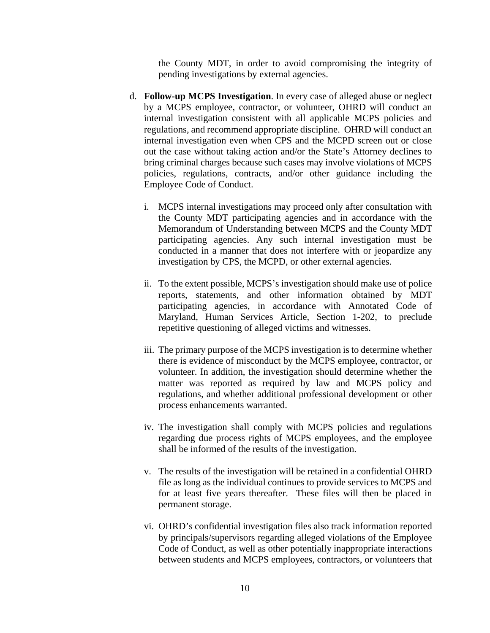the County MDT, in order to avoid compromising the integrity of pending investigations by external agencies.

- d. **Follow-up MCPS Investigation**. In every case of alleged abuse or neglect by a MCPS employee, contractor, or volunteer, OHRD will conduct an internal investigation consistent with all applicable MCPS policies and regulations, and recommend appropriate discipline. OHRD will conduct an internal investigation even when CPS and the MCPD screen out or close out the case without taking action and/or the State's Attorney declines to bring criminal charges because such cases may involve violations of MCPS policies, regulations, contracts, and/or other guidance including the Employee Code of Conduct.
	- i. MCPS internal investigations may proceed only after consultation with the County MDT participating agencies and in accordance with the Memorandum of Understanding between MCPS and the County MDT participating agencies. Any such internal investigation must be conducted in a manner that does not interfere with or jeopardize any investigation by CPS, the MCPD, or other external agencies.
	- ii. To the extent possible, MCPS's investigation should make use of police reports, statements, and other information obtained by MDT participating agencies, in accordance with Annotated Code of Maryland, Human Services Article, Section 1-202, to preclude repetitive questioning of alleged victims and witnesses.
	- iii. The primary purpose of the MCPS investigation is to determine whether there is evidence of misconduct by the MCPS employee, contractor, or volunteer. In addition, the investigation should determine whether the matter was reported as required by law and MCPS policy and regulations, and whether additional professional development or other process enhancements warranted.
	- iv. The investigation shall comply with MCPS policies and regulations regarding due process rights of MCPS employees, and the employee shall be informed of the results of the investigation.
	- v. The results of the investigation will be retained in a confidential OHRD file as long as the individual continues to provide services to MCPS and for at least five years thereafter. These files will then be placed in permanent storage.
	- vi. OHRD's confidential investigation files also track information reported by principals/supervisors regarding alleged violations of the Employee Code of Conduct, as well as other potentially inappropriate interactions between students and MCPS employees, contractors, or volunteers that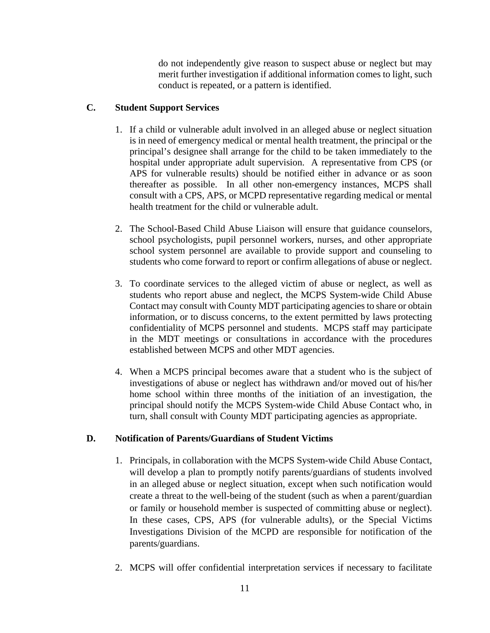do not independently give reason to suspect abuse or neglect but may merit further investigation if additional information comes to light, such conduct is repeated, or a pattern is identified.

# **C. Student Support Services**

- 1. If a child or vulnerable adult involved in an alleged abuse or neglect situation is in need of emergency medical or mental health treatment, the principal or the principal's designee shall arrange for the child to be taken immediately to the hospital under appropriate adult supervision. A representative from CPS (or APS for vulnerable results) should be notified either in advance or as soon thereafter as possible. In all other non-emergency instances, MCPS shall consult with a CPS, APS, or MCPD representative regarding medical or mental health treatment for the child or vulnerable adult.
- 2. The School-Based Child Abuse Liaison will ensure that guidance counselors, school psychologists, pupil personnel workers, nurses, and other appropriate school system personnel are available to provide support and counseling to students who come forward to report or confirm allegations of abuse or neglect.
- 3. To coordinate services to the alleged victim of abuse or neglect, as well as students who report abuse and neglect, the MCPS System-wide Child Abuse Contact may consult with County MDT participating agencies to share or obtain information, or to discuss concerns, to the extent permitted by laws protecting confidentiality of MCPS personnel and students. MCPS staff may participate in the MDT meetings or consultations in accordance with the procedures established between MCPS and other MDT agencies.
- 4. When a MCPS principal becomes aware that a student who is the subject of investigations of abuse or neglect has withdrawn and/or moved out of his/her home school within three months of the initiation of an investigation, the principal should notify the MCPS System-wide Child Abuse Contact who, in turn, shall consult with County MDT participating agencies as appropriate.

## **D. Notification of Parents/Guardians of Student Victims**

- 1. Principals, in collaboration with the MCPS System-wide Child Abuse Contact, will develop a plan to promptly notify parents/guardians of students involved in an alleged abuse or neglect situation, except when such notification would create a threat to the well-being of the student (such as when a parent/guardian or family or household member is suspected of committing abuse or neglect). In these cases, CPS, APS (for vulnerable adults), or the Special Victims Investigations Division of the MCPD are responsible for notification of the parents/guardians.
- 2. MCPS will offer confidential interpretation services if necessary to facilitate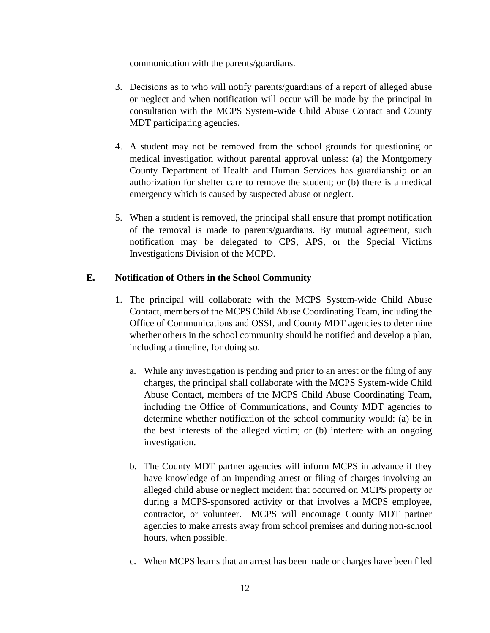communication with the parents/guardians.

- 3. Decisions as to who will notify parents/guardians of a report of alleged abuse or neglect and when notification will occur will be made by the principal in consultation with the MCPS System-wide Child Abuse Contact and County MDT participating agencies.
- 4. A student may not be removed from the school grounds for questioning or medical investigation without parental approval unless: (a) the Montgomery County Department of Health and Human Services has guardianship or an authorization for shelter care to remove the student; or (b) there is a medical emergency which is caused by suspected abuse or neglect.
- 5. When a student is removed, the principal shall ensure that prompt notification of the removal is made to parents/guardians. By mutual agreement, such notification may be delegated to CPS, APS, or the Special Victims Investigations Division of the MCPD.

### **E. Notification of Others in the School Community**

- 1. The principal will collaborate with the MCPS System-wide Child Abuse Contact, members of the MCPS Child Abuse Coordinating Team, including the Office of Communications and OSSI, and County MDT agencies to determine whether others in the school community should be notified and develop a plan, including a timeline, for doing so.
	- a. While any investigation is pending and prior to an arrest or the filing of any charges, the principal shall collaborate with the MCPS System-wide Child Abuse Contact, members of the MCPS Child Abuse Coordinating Team, including the Office of Communications, and County MDT agencies to determine whether notification of the school community would: (a) be in the best interests of the alleged victim; or (b) interfere with an ongoing investigation.
	- b. The County MDT partner agencies will inform MCPS in advance if they have knowledge of an impending arrest or filing of charges involving an alleged child abuse or neglect incident that occurred on MCPS property or during a MCPS-sponsored activity or that involves a MCPS employee, contractor, or volunteer. MCPS will encourage County MDT partner agencies to make arrests away from school premises and during non-school hours, when possible.
	- c. When MCPS learns that an arrest has been made or charges have been filed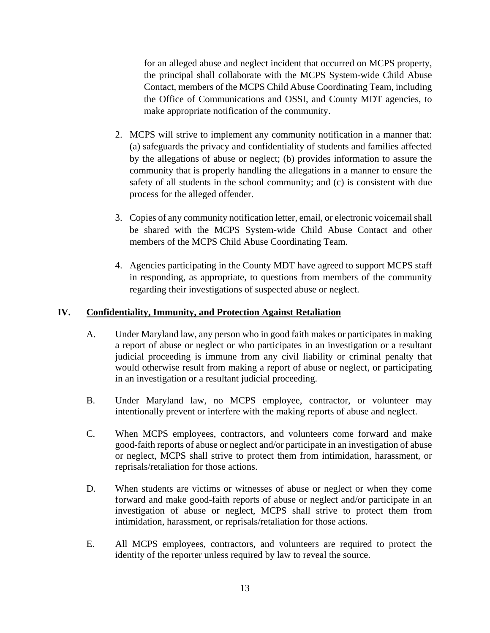for an alleged abuse and neglect incident that occurred on MCPS property, the principal shall collaborate with the MCPS System-wide Child Abuse Contact, members of the MCPS Child Abuse Coordinating Team, including the Office of Communications and OSSI, and County MDT agencies, to make appropriate notification of the community.

- 2. MCPS will strive to implement any community notification in a manner that: (a) safeguards the privacy and confidentiality of students and families affected by the allegations of abuse or neglect; (b) provides information to assure the community that is properly handling the allegations in a manner to ensure the safety of all students in the school community; and (c) is consistent with due process for the alleged offender.
- 3. Copies of any community notification letter, email, or electronic voicemail shall be shared with the MCPS System-wide Child Abuse Contact and other members of the MCPS Child Abuse Coordinating Team.
- 4. Agencies participating in the County MDT have agreed to support MCPS staff in responding, as appropriate, to questions from members of the community regarding their investigations of suspected abuse or neglect.

## **IV. Confidentiality, Immunity, and Protection Against Retaliation**

- A. Under Maryland law, any person who in good faith makes or participates in making a report of abuse or neglect or who participates in an investigation or a resultant judicial proceeding is immune from any civil liability or criminal penalty that would otherwise result from making a report of abuse or neglect, or participating in an investigation or a resultant judicial proceeding.
- B. Under Maryland law, no MCPS employee, contractor, or volunteer may intentionally prevent or interfere with the making reports of abuse and neglect.
- C. When MCPS employees, contractors, and volunteers come forward and make good-faith reports of abuse or neglect and/or participate in an investigation of abuse or neglect, MCPS shall strive to protect them from intimidation, harassment, or reprisals/retaliation for those actions.
- D. When students are victims or witnesses of abuse or neglect or when they come forward and make good-faith reports of abuse or neglect and/or participate in an investigation of abuse or neglect, MCPS shall strive to protect them from intimidation, harassment, or reprisals/retaliation for those actions.
- E. All MCPS employees, contractors, and volunteers are required to protect the identity of the reporter unless required by law to reveal the source.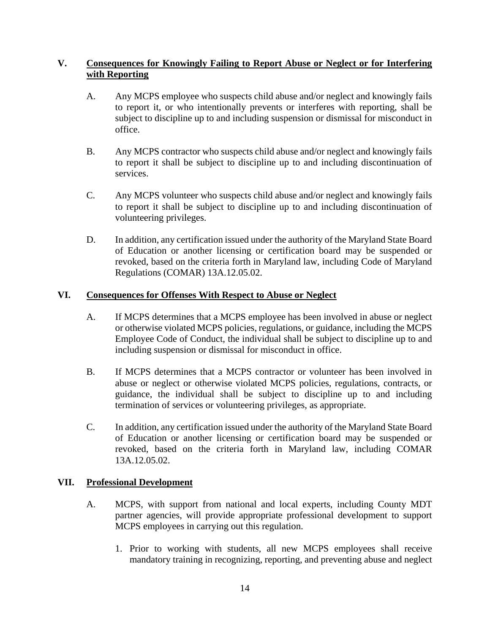## **V. Consequences for Knowingly Failing to Report Abuse or Neglect or for Interfering with Reporting**

- A. Any MCPS employee who suspects child abuse and/or neglect and knowingly fails to report it, or who intentionally prevents or interferes with reporting, shall be subject to discipline up to and including suspension or dismissal for misconduct in office.
- B. Any MCPS contractor who suspects child abuse and/or neglect and knowingly fails to report it shall be subject to discipline up to and including discontinuation of services.
- C. Any MCPS volunteer who suspects child abuse and/or neglect and knowingly fails to report it shall be subject to discipline up to and including discontinuation of volunteering privileges.
- D. In addition, any certification issued under the authority of the Maryland State Board of Education or another licensing or certification board may be suspended or revoked, based on the criteria forth in Maryland law, including Code of Maryland Regulations (COMAR) 13A.12.05.02.

### **VI. Consequences for Offenses With Respect to Abuse or Neglect**

- A. If MCPS determines that a MCPS employee has been involved in abuse or neglect or otherwise violated MCPS policies, regulations, or guidance, including the MCPS Employee Code of Conduct, the individual shall be subject to discipline up to and including suspension or dismissal for misconduct in office.
- B. If MCPS determines that a MCPS contractor or volunteer has been involved in abuse or neglect or otherwise violated MCPS policies, regulations, contracts, or guidance, the individual shall be subject to discipline up to and including termination of services or volunteering privileges, as appropriate.
- C. In addition, any certification issued under the authority of the Maryland State Board of Education or another licensing or certification board may be suspended or revoked, based on the criteria forth in Maryland law, including COMAR 13A.12.05.02.

#### **VII. Professional Development**

- A. MCPS, with support from national and local experts, including County MDT partner agencies, will provide appropriate professional development to support MCPS employees in carrying out this regulation.
	- 1. Prior to working with students, all new MCPS employees shall receive mandatory training in recognizing, reporting, and preventing abuse and neglect